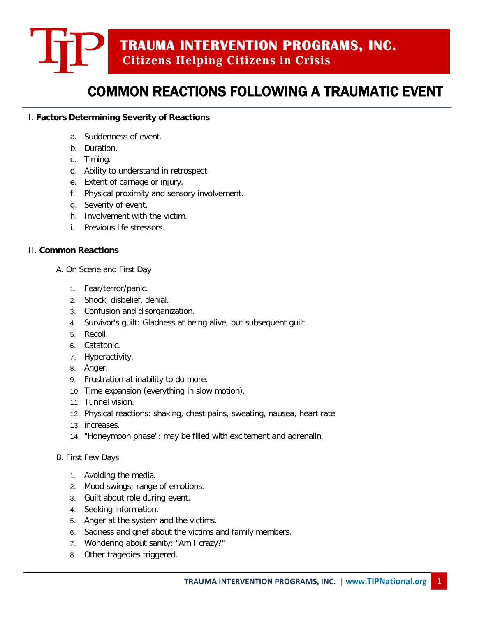# **TRAUMA INTERVENTION PROGRAMS, INC. Citizens Helping Citizens in Crisis**

## COMMON REACTIONS FOLLOWING A TRAUMATIC EVENT

### I. **Factors Determining Severity of Reactions**

- a. Suddenness of event.
- b. Duration.
- c. Timing.
- d. Ability to understand in retrospect.
- e. Extent of carnage or injury.
- f. Physical proximity and sensory involvement.
- g. Severity of event.
- h. Involvement with the victim.
- i. Previous life stressors.

#### II. **Common Reactions**

- A. On Scene and First Day
	- 1. Fear/terror/panic.
	- 2. Shock, disbelief, denial.
	- 3. Confusion and disorganization.
	- 4. Survivor's guilt: Gladness at being alive, but subsequent guilt.
	- 5. Recoil.
	- 6. Catatonic.
	- 7. Hyperactivity.
	- 8. Anger.
	- 9. Frustration at inability to do more.
	- 10. Time expansion (everything in slow motion).
	- 11. Tunnel vision.
	- 12. Physical reactions: shaking, chest pains, sweating, nausea, heart rate
	- 13. increases.
	- 14. "Honeymoon phase": may be filled with excitement and adrenalin.
- B. First Few Days
	- 1. Avoiding the media.
	- 2. Mood swings; range of emotions.
	- 3. Guilt about role during event.
	- 4. Seeking information.
	- 5. Anger at the system and the victims.
	- 6. Sadness and grief about the victims and family members.
	- 7. Wondering about sanity: "Am I crazy?"
	- 8. Other tragedies triggered.